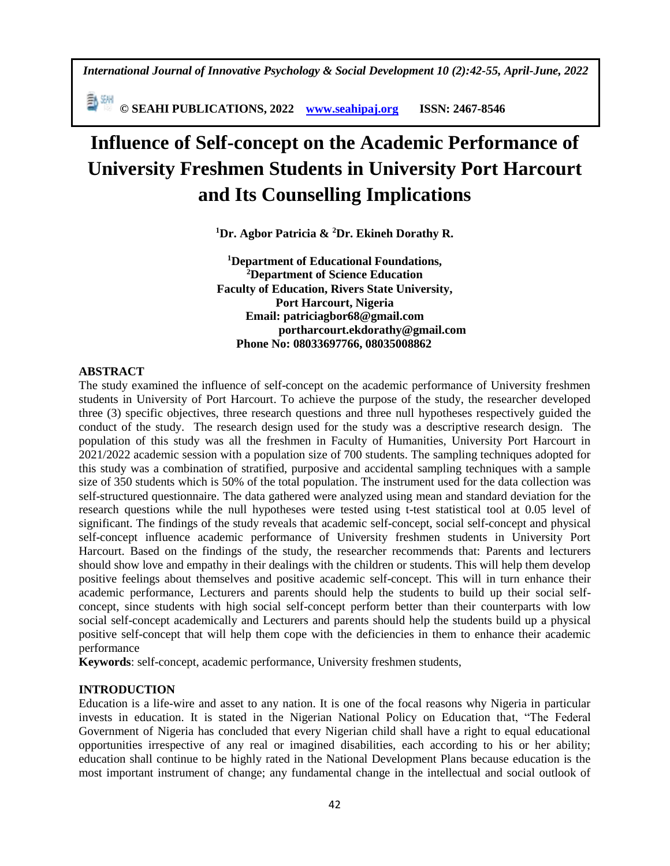*International Journal of Innovative Psychology & Social Development 10 (2):42-55, April-June, 2022*

**© SEAHI PUBLICATIONS, 2022 [www.seahipaj.org](http://www.seahipaj.org/) ISSN: 2467-8546**

# **Influence of Self-concept on the Academic Performance of University Freshmen Students in University Port Harcourt and Its Counselling Implications**

**<sup>1</sup>Dr. Agbor Patricia & <sup>2</sup>Dr. Ekineh Dorathy R.** 

**<sup>1</sup>Department of Educational Foundations, <sup>2</sup>Department of Science Education Faculty of Education, Rivers State University, Port Harcourt, Nigeria Email: patriciagbor68@gmail.com portharcourt.ekdorathy@gmail.com Phone No: 08033697766, 08035008862**

## **ABSTRACT**

The study examined the influence of self-concept on the academic performance of University freshmen students in University of Port Harcourt. To achieve the purpose of the study, the researcher developed three (3) specific objectives, three research questions and three null hypotheses respectively guided the conduct of the study. The research design used for the study was a descriptive research design. The population of this study was all the freshmen in Faculty of Humanities, University Port Harcourt in 2021/2022 academic session with a population size of 700 students. The sampling techniques adopted for this study was a combination of stratified, purposive and accidental sampling techniques with a sample size of 350 students which is 50% of the total population. The instrument used for the data collection was self-structured questionnaire. The data gathered were analyzed using mean and standard deviation for the research questions while the null hypotheses were tested using t-test statistical tool at 0.05 level of significant. The findings of the study reveals that academic self-concept, social self-concept and physical self-concept influence academic performance of University freshmen students in University Port Harcourt. Based on the findings of the study, the researcher recommends that: Parents and lecturers should show love and empathy in their dealings with the children or students. This will help them develop positive feelings about themselves and positive academic self-concept. This will in turn enhance their academic performance, Lecturers and parents should help the students to build up their social selfconcept, since students with high social self-concept perform better than their counterparts with low social self-concept academically and Lecturers and parents should help the students build up a physical positive self-concept that will help them cope with the deficiencies in them to enhance their academic performance

**Keywords**: self-concept, academic performance, University freshmen students,

## **INTRODUCTION**

Education is a life-wire and asset to any nation. It is one of the focal reasons why Nigeria in particular invests in education. It is stated in the Nigerian National Policy on Education that, "The Federal Government of Nigeria has concluded that every Nigerian child shall have a right to equal educational opportunities irrespective of any real or imagined disabilities, each according to his or her ability; education shall continue to be highly rated in the National Development Plans because education is the most important instrument of change; any fundamental change in the intellectual and social outlook of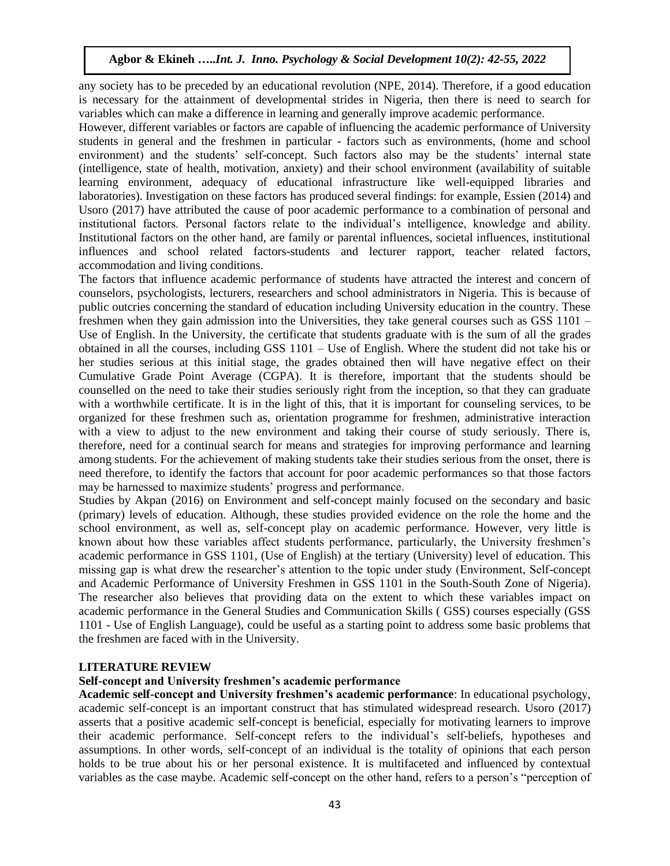any society has to be preceded by an educational revolution (NPE, 2014). Therefore, if a good education is necessary for the attainment of developmental strides in Nigeria, then there is need to search for variables which can make a difference in learning and generally improve academic performance.

However, different variables or factors are capable of influencing the academic performance of University students in general and the freshmen in particular - factors such as environments, (home and school environment) and the students' self-concept. Such factors also may be the students' internal state (intelligence, state of health, motivation, anxiety) and their school environment (availability of suitable learning environment, adequacy of educational infrastructure like well-equipped libraries and laboratories). Investigation on these factors has produced several findings: for example, Essien (2014) and Usoro (2017) have attributed the cause of poor academic performance to a combination of personal and institutional factors. Personal factors relate to the individual's intelligence, knowledge and ability. Institutional factors on the other hand, are family or parental influences, societal influences, institutional influences and school related factors-students and lecturer rapport, teacher related factors, accommodation and living conditions.

The factors that influence academic performance of students have attracted the interest and concern of counselors, psychologists, lecturers, researchers and school administrators in Nigeria. This is because of public outcries concerning the standard of education including University education in the country. These freshmen when they gain admission into the Universities, they take general courses such as GSS 1101 – Use of English. In the University, the certificate that students graduate with is the sum of all the grades obtained in all the courses, including GSS 1101 – Use of English. Where the student did not take his or her studies serious at this initial stage, the grades obtained then will have negative effect on their Cumulative Grade Point Average (CGPA). It is therefore, important that the students should be counselled on the need to take their studies seriously right from the inception, so that they can graduate with a worthwhile certificate. It is in the light of this, that it is important for counseling services, to be organized for these freshmen such as, orientation programme for freshmen, administrative interaction with a view to adjust to the new environment and taking their course of study seriously. There is, therefore, need for a continual search for means and strategies for improving performance and learning among students. For the achievement of making students take their studies serious from the onset, there is need therefore, to identify the factors that account for poor academic performances so that those factors may be harnessed to maximize students' progress and performance.

Studies by Akpan (2016) on Environment and self-concept mainly focused on the secondary and basic (primary) levels of education. Although, these studies provided evidence on the role the home and the school environment, as well as, self-concept play on academic performance. However, very little is known about how these variables affect students performance, particularly, the University freshmen's academic performance in GSS 1101, (Use of English) at the tertiary (University) level of education. This missing gap is what drew the researcher's attention to the topic under study (Environment, Self-concept and Academic Performance of University Freshmen in GSS 1101 in the South-South Zone of Nigeria). The researcher also believes that providing data on the extent to which these variables impact on academic performance in the General Studies and Communication Skills ( GSS) courses especially (GSS 1101 - Use of English Language), could be useful as a starting point to address some basic problems that the freshmen are faced with in the University.

### **LITERATURE REVIEW**

### **Self-concept and University freshmen's academic performance**

**Academic self-concept and University freshmen's academic performance**: In educational psychology, academic self-concept is an important construct that has stimulated widespread research. Usoro (2017) asserts that a positive academic self-concept is beneficial, especially for motivating learners to improve their academic performance. Self-concept refers to the individual's self-beliefs, hypotheses and assumptions. In other words, self-concept of an individual is the totality of opinions that each person holds to be true about his or her personal existence. It is multifaceted and influenced by contextual variables as the case maybe. Academic self-concept on the other hand, refers to a person's "perception of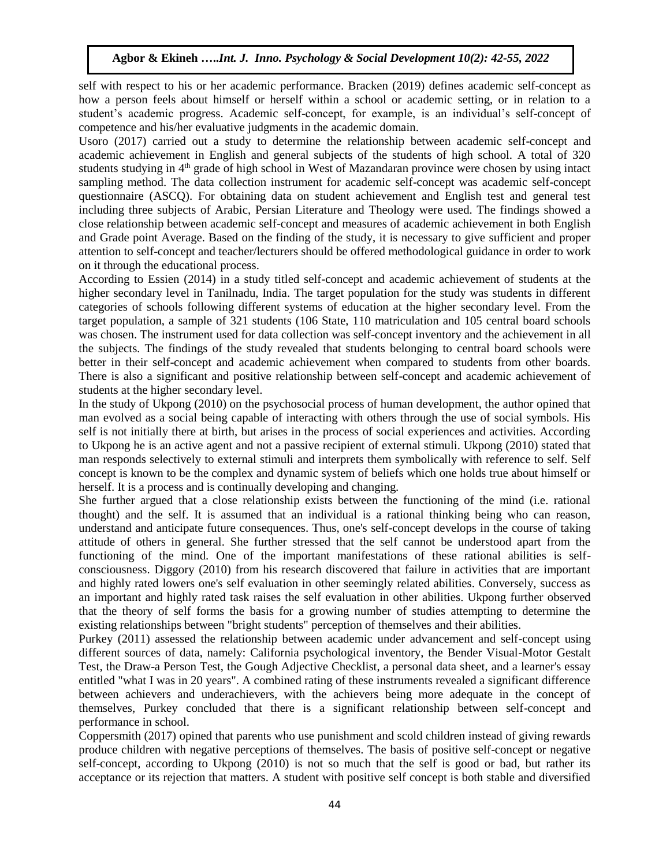self with respect to his or her academic performance. Bracken (2019) defines academic self-concept as how a person feels about himself or herself within a school or academic setting, or in relation to a student's academic progress. Academic self-concept, for example, is an individual's self-concept of competence and his/her evaluative judgments in the academic domain.

Usoro (2017) carried out a study to determine the relationship between academic self-concept and academic achievement in English and general subjects of the students of high school. A total of 320 students studying in 4<sup>th</sup> grade of high school in West of Mazandaran province were chosen by using intact sampling method. The data collection instrument for academic self-concept was academic self-concept questionnaire (ASCQ). For obtaining data on student achievement and English test and general test including three subjects of Arabic, Persian Literature and Theology were used. The findings showed a close relationship between academic self-concept and measures of academic achievement in both English and Grade point Average. Based on the finding of the study, it is necessary to give sufficient and proper attention to self-concept and teacher/lecturers should be offered methodological guidance in order to work on it through the educational process.

According to Essien (2014) in a study titled self-concept and academic achievement of students at the higher secondary level in Tanilnadu, India. The target population for the study was students in different categories of schools following different systems of education at the higher secondary level. From the target population, a sample of 321 students (106 State, 110 matriculation and 105 central board schools was chosen. The instrument used for data collection was self-concept inventory and the achievement in all the subjects. The findings of the study revealed that students belonging to central board schools were better in their self-concept and academic achievement when compared to students from other boards. There is also a significant and positive relationship between self-concept and academic achievement of students at the higher secondary level.

In the study of Ukpong (2010) on the psychosocial process of human development, the author opined that man evolved as a social being capable of interacting with others through the use of social symbols. His self is not initially there at birth, but arises in the process of social experiences and activities. According to Ukpong he is an active agent and not a passive recipient of external stimuli. Ukpong (2010) stated that man responds selectively to external stimuli and interprets them symbolically with reference to self. Self concept is known to be the complex and dynamic system of beliefs which one holds true about himself or herself. It is a process and is continually developing and changing.

She further argued that a close relationship exists between the functioning of the mind (i.e. rational thought) and the self. It is assumed that an individual is a rational thinking being who can reason, understand and anticipate future consequences. Thus, one's self-concept develops in the course of taking attitude of others in general. She further stressed that the self cannot be understood apart from the functioning of the mind. One of the important manifestations of these rational abilities is selfconsciousness. Diggory (2010) from his research discovered that failure in activities that are important and highly rated lowers one's self evaluation in other seemingly related abilities. Conversely, success as an important and highly rated task raises the self evaluation in other abilities. Ukpong further observed that the theory of self forms the basis for a growing number of studies attempting to determine the existing relationships between "bright students" perception of themselves and their abilities.

Purkey (2011) assessed the relationship between academic under advancement and self-concept using different sources of data, namely: California psychological inventory, the Bender Visual-Motor Gestalt Test, the Draw-a Person Test, the Gough Adjective Checklist, a personal data sheet, and a learner's essay entitled "what I was in 20 years". A combined rating of these instruments revealed a significant difference between achievers and underachievers, with the achievers being more adequate in the concept of themselves, Purkey concluded that there is a significant relationship between self-concept and performance in school.

Coppersmith (2017) opined that parents who use punishment and scold children instead of giving rewards produce children with negative perceptions of themselves. The basis of positive self-concept or negative self-concept, according to Ukpong (2010) is not so much that the self is good or bad, but rather its acceptance or its rejection that matters. A student with positive self concept is both stable and diversified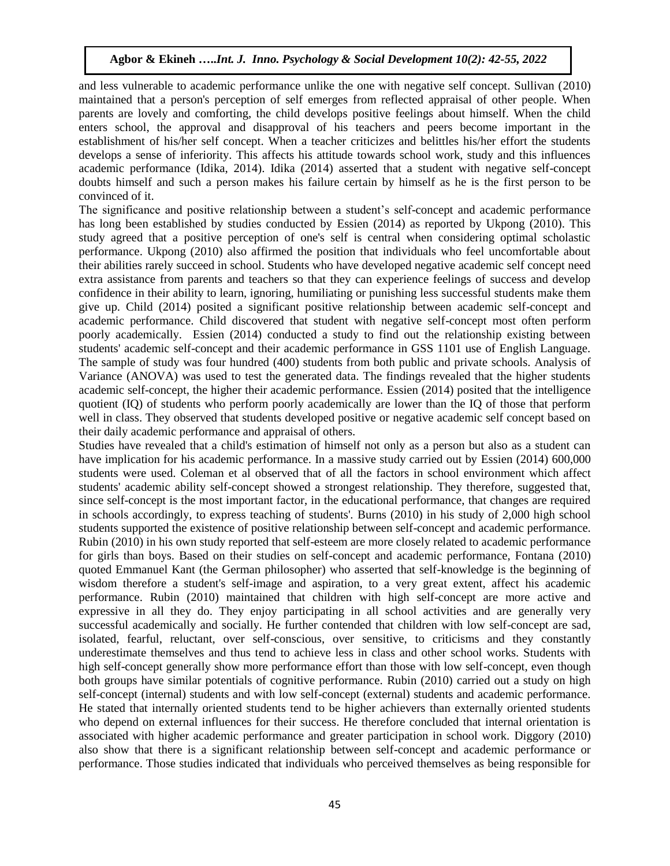and less vulnerable to academic performance unlike the one with negative self concept. Sullivan (2010) maintained that a person's perception of self emerges from reflected appraisal of other people. When parents are lovely and comforting, the child develops positive feelings about himself. When the child enters school, the approval and disapproval of his teachers and peers become important in the establishment of his/her self concept. When a teacher criticizes and belittles his/her effort the students develops a sense of inferiority. This affects his attitude towards school work, study and this influences academic performance (Idika, 2014). Idika (2014) asserted that a student with negative self-concept doubts himself and such a person makes his failure certain by himself as he is the first person to be convinced of it.

The significance and positive relationship between a student's self-concept and academic performance has long been established by studies conducted by Essien (2014) as reported by Ukpong (2010). This study agreed that a positive perception of one's self is central when considering optimal scholastic performance. Ukpong (2010) also affirmed the position that individuals who feel uncomfortable about their abilities rarely succeed in school. Students who have developed negative academic self concept need extra assistance from parents and teachers so that they can experience feelings of success and develop confidence in their ability to learn, ignoring, humiliating or punishing less successful students make them give up. Child (2014) posited a significant positive relationship between academic self-concept and academic performance. Child discovered that student with negative self-concept most often perform poorly academically. Essien (2014) conducted a study to find out the relationship existing between students' academic self-concept and their academic performance in GSS 1101 use of English Language. The sample of study was four hundred (400) students from both public and private schools. Analysis of Variance (ANOVA) was used to test the generated data. The findings revealed that the higher students academic self-concept, the higher their academic performance. Essien (2014) posited that the intelligence quotient (IQ) of students who perform poorly academically are lower than the IQ of those that perform well in class. They observed that students developed positive or negative academic self concept based on their daily academic performance and appraisal of others.

Studies have revealed that a child's estimation of himself not only as a person but also as a student can have implication for his academic performance. In a massive study carried out by Essien (2014) 600,000 students were used. Coleman et al observed that of all the factors in school environment which affect students' academic ability self-concept showed a strongest relationship. They therefore, suggested that, since self-concept is the most important factor, in the educational performance, that changes are required in schools accordingly, to express teaching of students'. Burns (2010) in his study of 2,000 high school students supported the existence of positive relationship between self-concept and academic performance. Rubin (2010) in his own study reported that self-esteem are more closely related to academic performance for girls than boys. Based on their studies on self-concept and academic performance, Fontana (2010) quoted Emmanuel Kant (the German philosopher) who asserted that self-knowledge is the beginning of wisdom therefore a student's self-image and aspiration, to a very great extent, affect his academic performance. Rubin (2010) maintained that children with high self-concept are more active and expressive in all they do. They enjoy participating in all school activities and are generally very successful academically and socially. He further contended that children with low self-concept are sad, isolated, fearful, reluctant, over self-conscious, over sensitive, to criticisms and they constantly underestimate themselves and thus tend to achieve less in class and other school works. Students with high self-concept generally show more performance effort than those with low self-concept, even though both groups have similar potentials of cognitive performance. Rubin (2010) carried out a study on high self-concept (internal) students and with low self-concept (external) students and academic performance. He stated that internally oriented students tend to be higher achievers than externally oriented students who depend on external influences for their success. He therefore concluded that internal orientation is associated with higher academic performance and greater participation in school work. Diggory (2010) also show that there is a significant relationship between self-concept and academic performance or performance. Those studies indicated that individuals who perceived themselves as being responsible for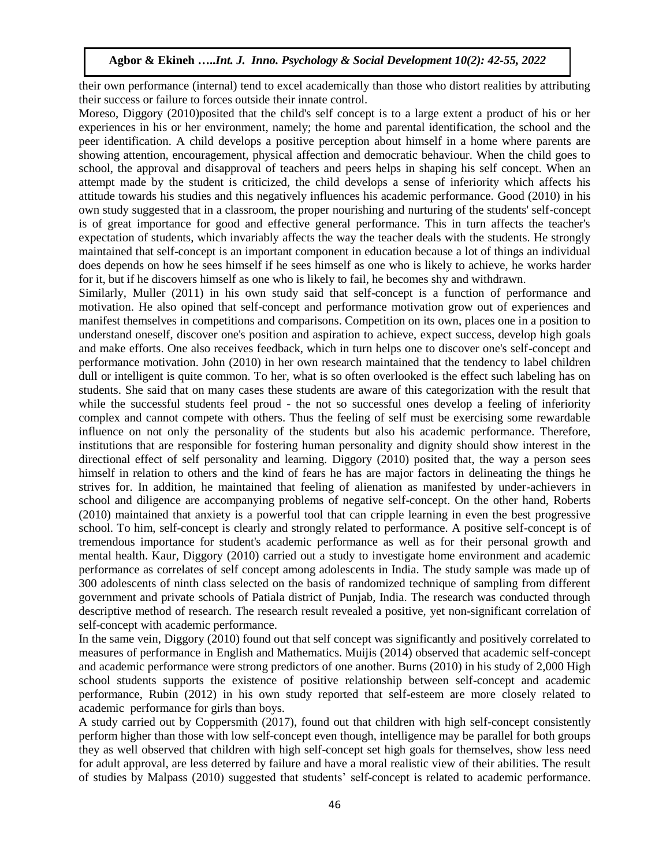their own performance (internal) tend to excel academically than those who distort realities by attributing their success or failure to forces outside their innate control.

Moreso, Diggory (2010)posited that the child's self concept is to a large extent a product of his or her experiences in his or her environment, namely; the home and parental identification, the school and the peer identification. A child develops a positive perception about himself in a home where parents are showing attention, encouragement, physical affection and democratic behaviour. When the child goes to school, the approval and disapproval of teachers and peers helps in shaping his self concept. When an attempt made by the student is criticized, the child develops a sense of inferiority which affects his attitude towards his studies and this negatively influences his academic performance. Good (2010) in his own study suggested that in a classroom, the proper nourishing and nurturing of the students' self-concept is of great importance for good and effective general performance. This in turn affects the teacher's expectation of students, which invariably affects the way the teacher deals with the students. He strongly maintained that self-concept is an important component in education because a lot of things an individual does depends on how he sees himself if he sees himself as one who is likely to achieve, he works harder for it, but if he discovers himself as one who is likely to fail, he becomes shy and withdrawn.

Similarly, Muller (2011) in his own study said that self-concept is a function of performance and motivation. He also opined that self-concept and performance motivation grow out of experiences and manifest themselves in competitions and comparisons. Competition on its own, places one in a position to understand oneself, discover one's position and aspiration to achieve, expect success, develop high goals and make efforts. One also receives feedback, which in turn helps one to discover one's self-concept and performance motivation. John (2010) in her own research maintained that the tendency to label children dull or intelligent is quite common. To her, what is so often overlooked is the effect such labeling has on students. She said that on many cases these students are aware of this categorization with the result that while the successful students feel proud - the not so successful ones develop a feeling of inferiority complex and cannot compete with others. Thus the feeling of self must be exercising some rewardable influence on not only the personality of the students but also his academic performance. Therefore, institutions that are responsible for fostering human personality and dignity should show interest in the directional effect of self personality and learning. Diggory (2010) posited that, the way a person sees himself in relation to others and the kind of fears he has are major factors in delineating the things he strives for. In addition, he maintained that feeling of alienation as manifested by under-achievers in school and diligence are accompanying problems of negative self-concept. On the other hand, Roberts (2010) maintained that anxiety is a powerful tool that can cripple learning in even the best progressive school. To him, self-concept is clearly and strongly related to performance. A positive self-concept is of tremendous importance for student's academic performance as well as for their personal growth and mental health. Kaur, Diggory (2010) carried out a study to investigate home environment and academic performance as correlates of self concept among adolescents in India. The study sample was made up of 300 adolescents of ninth class selected on the basis of randomized technique of sampling from different government and private schools of Patiala district of Punjab, India. The research was conducted through descriptive method of research. The research result revealed a positive, yet non-significant correlation of self-concept with academic performance.

In the same vein, Diggory (2010) found out that self concept was significantly and positively correlated to measures of performance in English and Mathematics. Muijis (2014) observed that academic self-concept and academic performance were strong predictors of one another. Burns (2010) in his study of 2,000 High school students supports the existence of positive relationship between self-concept and academic performance, Rubin (2012) in his own study reported that self-esteem are more closely related to academic performance for girls than boys.

A study carried out by Coppersmith (2017), found out that children with high self-concept consistently perform higher than those with low self-concept even though, intelligence may be parallel for both groups they as well observed that children with high self-concept set high goals for themselves, show less need for adult approval, are less deterred by failure and have a moral realistic view of their abilities. The result of studies by Malpass (2010) suggested that students' self-concept is related to academic performance.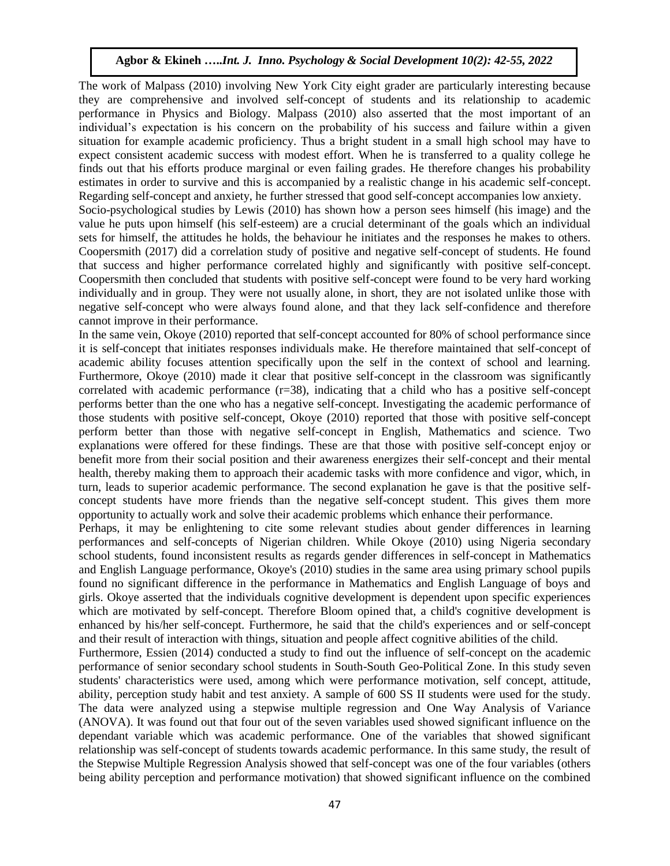The work of Malpass (2010) involving New York City eight grader are particularly interesting because they are comprehensive and involved self-concept of students and its relationship to academic performance in Physics and Biology. Malpass (2010) also asserted that the most important of an individual's expectation is his concern on the probability of his success and failure within a given situation for example academic proficiency. Thus a bright student in a small high school may have to expect consistent academic success with modest effort. When he is transferred to a quality college he finds out that his efforts produce marginal or even failing grades. He therefore changes his probability estimates in order to survive and this is accompanied by a realistic change in his academic self-concept. Regarding self-concept and anxiety, he further stressed that good self-concept accompanies low anxiety. Socio-psychological studies by Lewis (2010) has shown how a person sees himself (his image) and the value he puts upon himself (his self-esteem) are a crucial determinant of the goals which an individual sets for himself, the attitudes he holds, the behaviour he initiates and the responses he makes to others. Coopersmith (2017) did a correlation study of positive and negative self-concept of students. He found that success and higher performance correlated highly and significantly with positive self-concept. Coopersmith then concluded that students with positive self-concept were found to be very hard working individually and in group. They were not usually alone, in short, they are not isolated unlike those with negative self-concept who were always found alone, and that they lack self-confidence and therefore cannot improve in their performance.

In the same vein, Okoye (2010) reported that self-concept accounted for 80% of school performance since it is self-concept that initiates responses individuals make. He therefore maintained that self-concept of academic ability focuses attention specifically upon the self in the context of school and learning. Furthermore, Okoye (2010) made it clear that positive self-concept in the classroom was significantly correlated with academic performance  $(r=38)$ , indicating that a child who has a positive self-concept performs better than the one who has a negative self-concept. Investigating the academic performance of those students with positive self-concept, Okoye (2010) reported that those with positive self-concept perform better than those with negative self-concept in English, Mathematics and science. Two explanations were offered for these findings. These are that those with positive self-concept enjoy or benefit more from their social position and their awareness energizes their self-concept and their mental health, thereby making them to approach their academic tasks with more confidence and vigor, which, in turn, leads to superior academic performance. The second explanation he gave is that the positive selfconcept students have more friends than the negative self-concept student. This gives them more opportunity to actually work and solve their academic problems which enhance their performance.

Perhaps, it may be enlightening to cite some relevant studies about gender differences in learning performances and self-concepts of Nigerian children. While Okoye (2010) using Nigeria secondary school students, found inconsistent results as regards gender differences in self-concept in Mathematics and English Language performance, Okoye's (2010) studies in the same area using primary school pupils found no significant difference in the performance in Mathematics and English Language of boys and girls. Okoye asserted that the individuals cognitive development is dependent upon specific experiences which are motivated by self-concept. Therefore Bloom opined that, a child's cognitive development is enhanced by his/her self-concept. Furthermore, he said that the child's experiences and or self-concept and their result of interaction with things, situation and people affect cognitive abilities of the child.

Furthermore, Essien (2014) conducted a study to find out the influence of self-concept on the academic performance of senior secondary school students in South-South Geo-Political Zone. In this study seven students' characteristics were used, among which were performance motivation, self concept, attitude, ability, perception study habit and test anxiety. A sample of 600 SS II students were used for the study. The data were analyzed using a stepwise multiple regression and One Way Analysis of Variance (ANOVA). It was found out that four out of the seven variables used showed significant influence on the dependant variable which was academic performance. One of the variables that showed significant relationship was self-concept of students towards academic performance. In this same study, the result of the Stepwise Multiple Regression Analysis showed that self-concept was one of the four variables (others being ability perception and performance motivation) that showed significant influence on the combined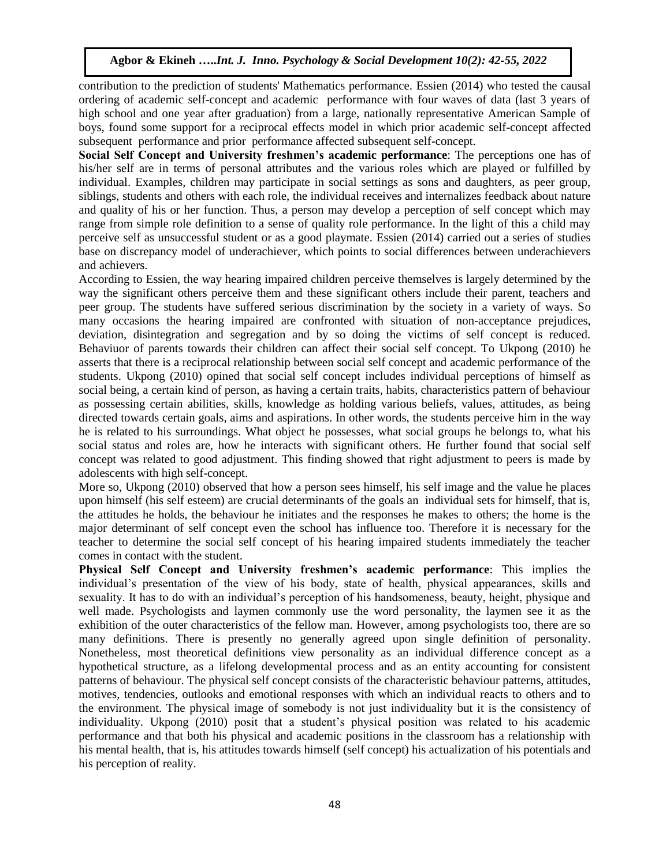contribution to the prediction of students' Mathematics performance. Essien (2014) who tested the causal ordering of academic self-concept and academic performance with four waves of data (last 3 years of high school and one year after graduation) from a large, nationally representative American Sample of boys, found some support for a reciprocal effects model in which prior academic self-concept affected subsequent performance and prior performance affected subsequent self-concept.

**Social Self Concept and University freshmen's academic performance**: The perceptions one has of his/her self are in terms of personal attributes and the various roles which are played or fulfilled by individual. Examples, children may participate in social settings as sons and daughters, as peer group, siblings, students and others with each role, the individual receives and internalizes feedback about nature and quality of his or her function. Thus, a person may develop a perception of self concept which may range from simple role definition to a sense of quality role performance. In the light of this a child may perceive self as unsuccessful student or as a good playmate. Essien (2014) carried out a series of studies base on discrepancy model of underachiever, which points to social differences between underachievers and achievers.

According to Essien, the way hearing impaired children perceive themselves is largely determined by the way the significant others perceive them and these significant others include their parent, teachers and peer group. The students have suffered serious discrimination by the society in a variety of ways. So many occasions the hearing impaired are confronted with situation of non-acceptance prejudices, deviation, disintegration and segregation and by so doing the victims of self concept is reduced. Behaviuor of parents towards their children can affect their social self concept. To Ukpong (2010) he asserts that there is a reciprocal relationship between social self concept and academic performance of the students. Ukpong (2010) opined that social self concept includes individual perceptions of himself as social being, a certain kind of person, as having a certain traits, habits, characteristics pattern of behaviour as possessing certain abilities, skills, knowledge as holding various beliefs, values, attitudes, as being directed towards certain goals, aims and aspirations. In other words, the students perceive him in the way he is related to his surroundings. What object he possesses, what social groups he belongs to, what his social status and roles are, how he interacts with significant others. He further found that social self concept was related to good adjustment. This finding showed that right adjustment to peers is made by adolescents with high self-concept.

More so, Ukpong (2010) observed that how a person sees himself, his self image and the value he places upon himself (his self esteem) are crucial determinants of the goals an individual sets for himself, that is, the attitudes he holds, the behaviour he initiates and the responses he makes to others; the home is the major determinant of self concept even the school has influence too. Therefore it is necessary for the teacher to determine the social self concept of his hearing impaired students immediately the teacher comes in contact with the student.

**Physical Self Concept and University freshmen's academic performance**: This implies the individual's presentation of the view of his body, state of health, physical appearances, skills and sexuality. It has to do with an individual's perception of his handsomeness, beauty, height, physique and well made. Psychologists and laymen commonly use the word personality, the laymen see it as the exhibition of the outer characteristics of the fellow man. However, among psychologists too, there are so many definitions. There is presently no generally agreed upon single definition of personality. Nonetheless, most theoretical definitions view personality as an individual difference concept as a hypothetical structure, as a lifelong developmental process and as an entity accounting for consistent patterns of behaviour. The physical self concept consists of the characteristic behaviour patterns, attitudes, motives, tendencies, outlooks and emotional responses with which an individual reacts to others and to the environment. The physical image of somebody is not just individuality but it is the consistency of individuality. Ukpong (2010) posit that a student's physical position was related to his academic performance and that both his physical and academic positions in the classroom has a relationship with his mental health, that is, his attitudes towards himself (self concept) his actualization of his potentials and his perception of reality.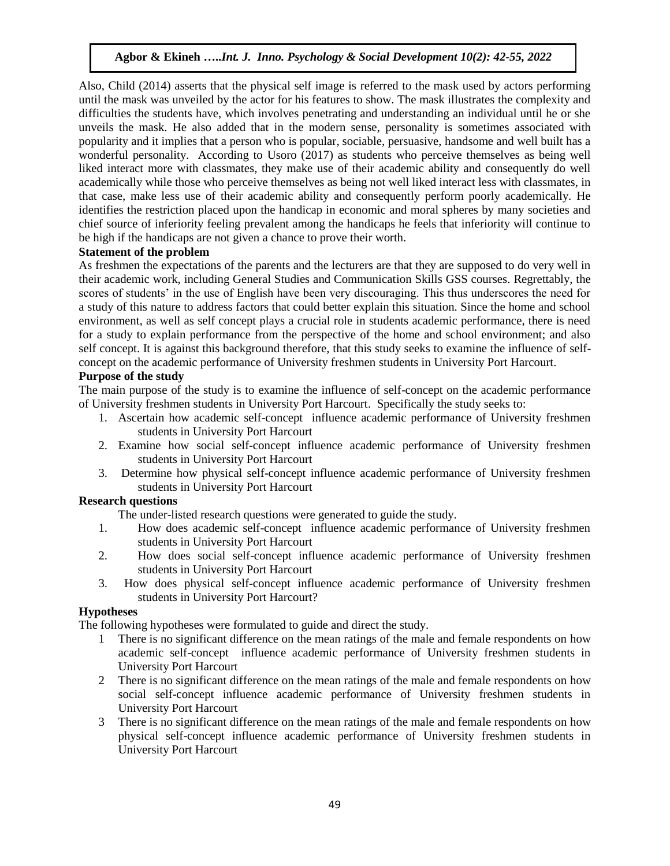Also, Child (2014) asserts that the physical self image is referred to the mask used by actors performing until the mask was unveiled by the actor for his features to show. The mask illustrates the complexity and difficulties the students have, which involves penetrating and understanding an individual until he or she unveils the mask. He also added that in the modern sense, personality is sometimes associated with popularity and it implies that a person who is popular, sociable, persuasive, handsome and well built has a wonderful personality. According to Usoro (2017) as students who perceive themselves as being well liked interact more with classmates, they make use of their academic ability and consequently do well academically while those who perceive themselves as being not well liked interact less with classmates, in that case, make less use of their academic ability and consequently perform poorly academically. He identifies the restriction placed upon the handicap in economic and moral spheres by many societies and chief source of inferiority feeling prevalent among the handicaps he feels that inferiority will continue to be high if the handicaps are not given a chance to prove their worth.

## **Statement of the problem**

As freshmen the expectations of the parents and the lecturers are that they are supposed to do very well in their academic work, including General Studies and Communication Skills GSS courses. Regrettably, the scores of students' in the use of English have been very discouraging. This thus underscores the need for a study of this nature to address factors that could better explain this situation. Since the home and school environment, as well as self concept plays a crucial role in students academic performance, there is need for a study to explain performance from the perspective of the home and school environment; and also self concept. It is against this background therefore, that this study seeks to examine the influence of selfconcept on the academic performance of University freshmen students in University Port Harcourt.

## **Purpose of the study**

The main purpose of the study is to examine the influence of self-concept on the academic performance of University freshmen students in University Port Harcourt. Specifically the study seeks to:

- 1. Ascertain how academic self-concept influence academic performance of University freshmen students in University Port Harcourt
- 2. Examine how social self-concept influence academic performance of University freshmen students in University Port Harcourt
- 3. Determine how physical self-concept influence academic performance of University freshmen students in University Port Harcourt

#### **Research questions**

The under-listed research questions were generated to guide the study.

- 1. How does academic self-concept influence academic performance of University freshmen students in University Port Harcourt
- 2. How does social self-concept influence academic performance of University freshmen students in University Port Harcourt
- 3. How does physical self-concept influence academic performance of University freshmen students in University Port Harcourt?

### **Hypotheses**

The following hypotheses were formulated to guide and direct the study.

- 1 There is no significant difference on the mean ratings of the male and female respondents on how academic self-concept influence academic performance of University freshmen students in University Port Harcourt
- 2 There is no significant difference on the mean ratings of the male and female respondents on how social self-concept influence academic performance of University freshmen students in University Port Harcourt
- 3 There is no significant difference on the mean ratings of the male and female respondents on how physical self-concept influence academic performance of University freshmen students in University Port Harcourt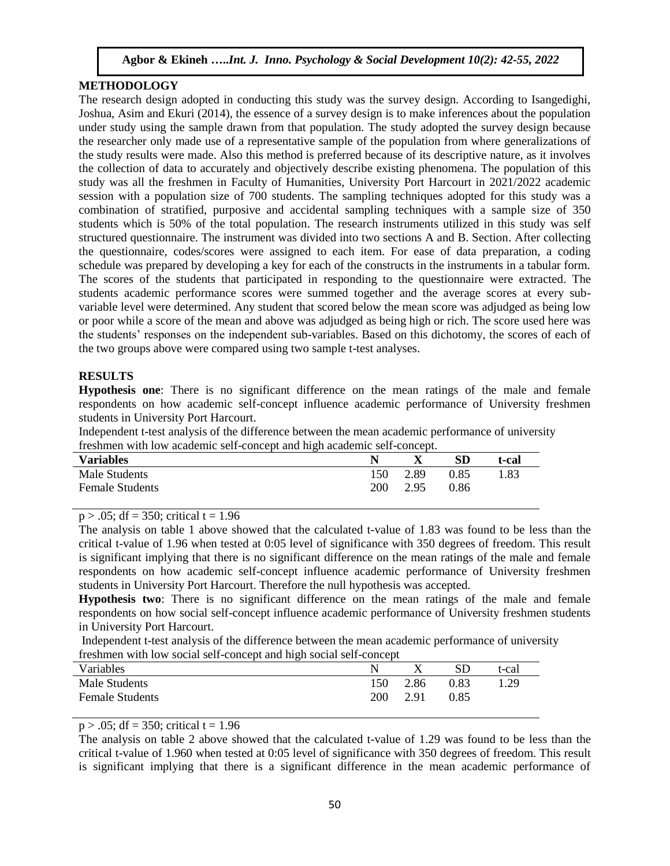## **METHODOLOGY**

The research design adopted in conducting this study was the survey design. According to Isangedighi, Joshua, Asim and Ekuri (2014), the essence of a survey design is to make inferences about the population under study using the sample drawn from that population. The study adopted the survey design because the researcher only made use of a representative sample of the population from where generalizations of the study results were made. Also this method is preferred because of its descriptive nature, as it involves the collection of data to accurately and objectively describe existing phenomena. The population of this study was all the freshmen in Faculty of Humanities, University Port Harcourt in 2021/2022 academic session with a population size of 700 students. The sampling techniques adopted for this study was a combination of stratified, purposive and accidental sampling techniques with a sample size of 350 students which is 50% of the total population. The research instruments utilized in this study was self structured questionnaire. The instrument was divided into two sections A and B. Section. After collecting the questionnaire, codes/scores were assigned to each item. For ease of data preparation, a coding schedule was prepared by developing a key for each of the constructs in the instruments in a tabular form. The scores of the students that participated in responding to the questionnaire were extracted. The students academic performance scores were summed together and the average scores at every subvariable level were determined. Any student that scored below the mean score was adjudged as being low or poor while a score of the mean and above was adjudged as being high or rich. The score used here was the students' responses on the independent sub-variables. Based on this dichotomy, the scores of each of the two groups above were compared using two sample t-test analyses.

## **RESULTS**

**Hypothesis one**: There is no significant difference on the mean ratings of the male and female respondents on how academic self-concept influence academic performance of University freshmen students in University Port Harcourt.

Independent t-test analysis of the difference between the mean academic performance of university freshmen with low academic self-concept and high academic self-concept.

| <b>Variables</b>       |     |      | <b>SD</b> | t-cal |
|------------------------|-----|------|-----------|-------|
| Male Students          | 150 | 2.89 | 0.85      | 1.83  |
| <b>Female Students</b> | 200 | 2.95 | 0.86      |       |

 $p > .05$ ; df = 350; critical t = 1.96

The analysis on table 1 above showed that the calculated t-value of 1.83 was found to be less than the critical t-value of 1.96 when tested at 0:05 level of significance with 350 degrees of freedom. This result is significant implying that there is no significant difference on the mean ratings of the male and female respondents on how academic self-concept influence academic performance of University freshmen students in University Port Harcourt. Therefore the null hypothesis was accepted.

**Hypothesis two**: There is no significant difference on the mean ratings of the male and female respondents on how social self-concept influence academic performance of University freshmen students in University Port Harcourt.

Independent t-test analysis of the difference between the mean academic performance of university freshmen with low social self-concept and high social self-concept

|                        | . .        |      |      |       |
|------------------------|------------|------|------|-------|
| Variables              |            |      | SD   | t-cal |
| Male Students          | 150        | 2.86 | 0.83 | 1.29  |
| <b>Female Students</b> | <b>200</b> | 2.91 | 0.85 |       |
|                        |            |      |      |       |

 $p > .05$ ; df = 350; critical t = 1.96

The analysis on table 2 above showed that the calculated t-value of 1.29 was found to be less than the critical t-value of 1.960 when tested at 0:05 level of significance with 350 degrees of freedom. This result is significant implying that there is a significant difference in the mean academic performance of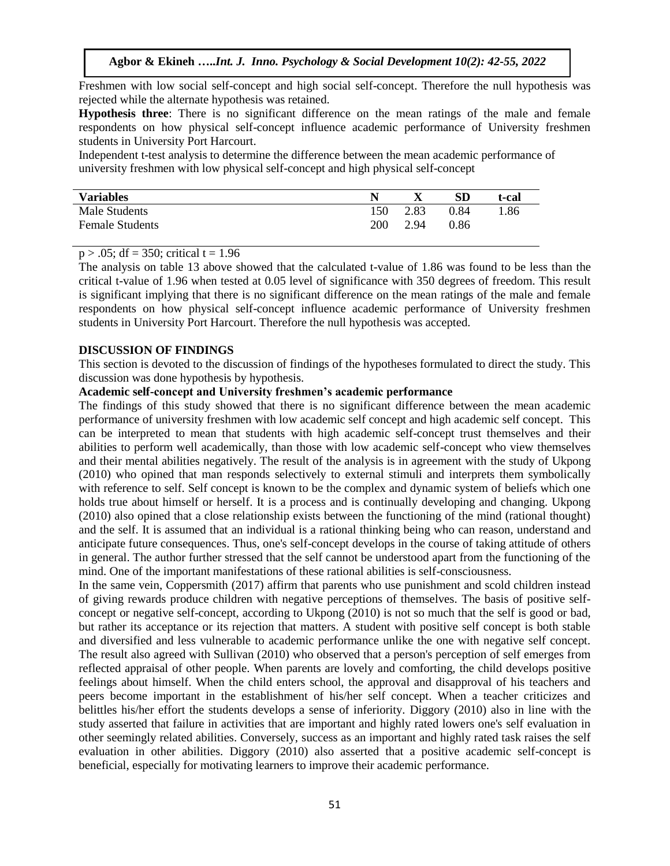Freshmen with low social self-concept and high social self-concept. Therefore the null hypothesis was rejected while the alternate hypothesis was retained.

**Hypothesis three**: There is no significant difference on the mean ratings of the male and female respondents on how physical self-concept influence academic performance of University freshmen students in University Port Harcourt.

Independent t-test analysis to determine the difference between the mean academic performance of university freshmen with low physical self-concept and high physical self-concept

| <b>Variables</b>       |            |      | <b>SD</b> | t-cal |
|------------------------|------------|------|-----------|-------|
| Male Students          | 150        | 2.83 | 0.84      | 1.86  |
| <b>Female Students</b> | <b>200</b> | 2.94 | 0.86      |       |

## $p > .05$ ; df = 350; critical t = 1.96

The analysis on table 13 above showed that the calculated t-value of 1.86 was found to be less than the critical t-value of 1.96 when tested at 0.05 level of significance with 350 degrees of freedom. This result is significant implying that there is no significant difference on the mean ratings of the male and female respondents on how physical self-concept influence academic performance of University freshmen students in University Port Harcourt. Therefore the null hypothesis was accepted.

#### **DISCUSSION OF FINDINGS**

This section is devoted to the discussion of findings of the hypotheses formulated to direct the study. This discussion was done hypothesis by hypothesis.

## **Academic self-concept and University freshmen's academic performance**

The findings of this study showed that there is no significant difference between the mean academic performance of university freshmen with low academic self concept and high academic self concept. This can be interpreted to mean that students with high academic self-concept trust themselves and their abilities to perform well academically, than those with low academic self-concept who view themselves and their mental abilities negatively. The result of the analysis is in agreement with the study of Ukpong (2010) who opined that man responds selectively to external stimuli and interprets them symbolically with reference to self. Self concept is known to be the complex and dynamic system of beliefs which one holds true about himself or herself. It is a process and is continually developing and changing. Ukpong (2010) also opined that a close relationship exists between the functioning of the mind (rational thought) and the self. It is assumed that an individual is a rational thinking being who can reason, understand and anticipate future consequences. Thus, one's self-concept develops in the course of taking attitude of others in general. The author further stressed that the self cannot be understood apart from the functioning of the mind. One of the important manifestations of these rational abilities is self-consciousness.

In the same vein, Coppersmith (2017) affirm that parents who use punishment and scold children instead of giving rewards produce children with negative perceptions of themselves. The basis of positive selfconcept or negative self-concept, according to Ukpong (2010) is not so much that the self is good or bad, but rather its acceptance or its rejection that matters. A student with positive self concept is both stable and diversified and less vulnerable to academic performance unlike the one with negative self concept. The result also agreed with Sullivan (2010) who observed that a person's perception of self emerges from reflected appraisal of other people. When parents are lovely and comforting, the child develops positive feelings about himself. When the child enters school, the approval and disapproval of his teachers and peers become important in the establishment of his/her self concept. When a teacher criticizes and belittles his/her effort the students develops a sense of inferiority. Diggory (2010) also in line with the study asserted that failure in activities that are important and highly rated lowers one's self evaluation in other seemingly related abilities. Conversely, success as an important and highly rated task raises the self evaluation in other abilities. Diggory (2010) also asserted that a positive academic self-concept is beneficial, especially for motivating learners to improve their academic performance.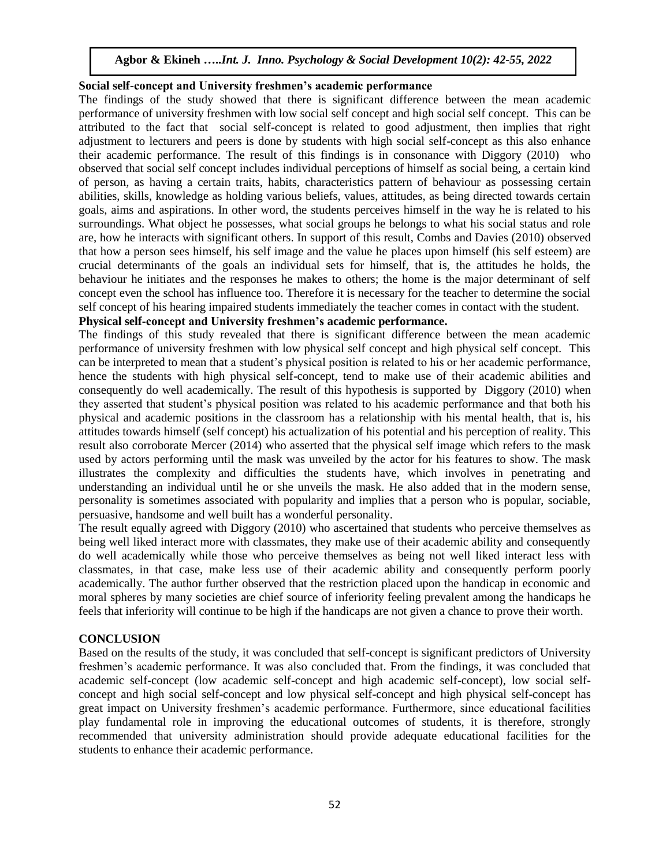## **Social self-concept and University freshmen's academic performance**

The findings of the study showed that there is significant difference between the mean academic performance of university freshmen with low social self concept and high social self concept. This can be attributed to the fact that social self-concept is related to good adjustment, then implies that right adjustment to lecturers and peers is done by students with high social self-concept as this also enhance their academic performance. The result of this findings is in consonance with Diggory (2010) who observed that social self concept includes individual perceptions of himself as social being, a certain kind of person, as having a certain traits, habits, characteristics pattern of behaviour as possessing certain abilities, skills, knowledge as holding various beliefs, values, attitudes, as being directed towards certain goals, aims and aspirations. In other word, the students perceives himself in the way he is related to his surroundings. What object he possesses, what social groups he belongs to what his social status and role are, how he interacts with significant others. In support of this result, Combs and Davies (2010) observed that how a person sees himself, his self image and the value he places upon himself (his self esteem) are crucial determinants of the goals an individual sets for himself, that is, the attitudes he holds, the behaviour he initiates and the responses he makes to others; the home is the major determinant of self concept even the school has influence too. Therefore it is necessary for the teacher to determine the social self concept of his hearing impaired students immediately the teacher comes in contact with the student.

## **Physical self-concept and University freshmen's academic performance.**

The findings of this study revealed that there is significant difference between the mean academic performance of university freshmen with low physical self concept and high physical self concept. This can be interpreted to mean that a student's physical position is related to his or her academic performance, hence the students with high physical self-concept, tend to make use of their academic abilities and consequently do well academically. The result of this hypothesis is supported by Diggory (2010) when they asserted that student's physical position was related to his academic performance and that both his physical and academic positions in the classroom has a relationship with his mental health, that is, his attitudes towards himself (self concept) his actualization of his potential and his perception of reality. This result also corroborate Mercer (2014) who asserted that the physical self image which refers to the mask used by actors performing until the mask was unveiled by the actor for his features to show. The mask illustrates the complexity and difficulties the students have, which involves in penetrating and understanding an individual until he or she unveils the mask. He also added that in the modern sense, personality is sometimes associated with popularity and implies that a person who is popular, sociable, persuasive, handsome and well built has a wonderful personality.

The result equally agreed with Diggory (2010) who ascertained that students who perceive themselves as being well liked interact more with classmates, they make use of their academic ability and consequently do well academically while those who perceive themselves as being not well liked interact less with classmates, in that case, make less use of their academic ability and consequently perform poorly academically. The author further observed that the restriction placed upon the handicap in economic and moral spheres by many societies are chief source of inferiority feeling prevalent among the handicaps he feels that inferiority will continue to be high if the handicaps are not given a chance to prove their worth.

#### **CONCLUSION**

Based on the results of the study, it was concluded that self-concept is significant predictors of University freshmen's academic performance. It was also concluded that. From the findings, it was concluded that academic self-concept (low academic self-concept and high academic self-concept), low social selfconcept and high social self-concept and low physical self-concept and high physical self-concept has great impact on University freshmen's academic performance. Furthermore, since educational facilities play fundamental role in improving the educational outcomes of students, it is therefore, strongly recommended that university administration should provide adequate educational facilities for the students to enhance their academic performance.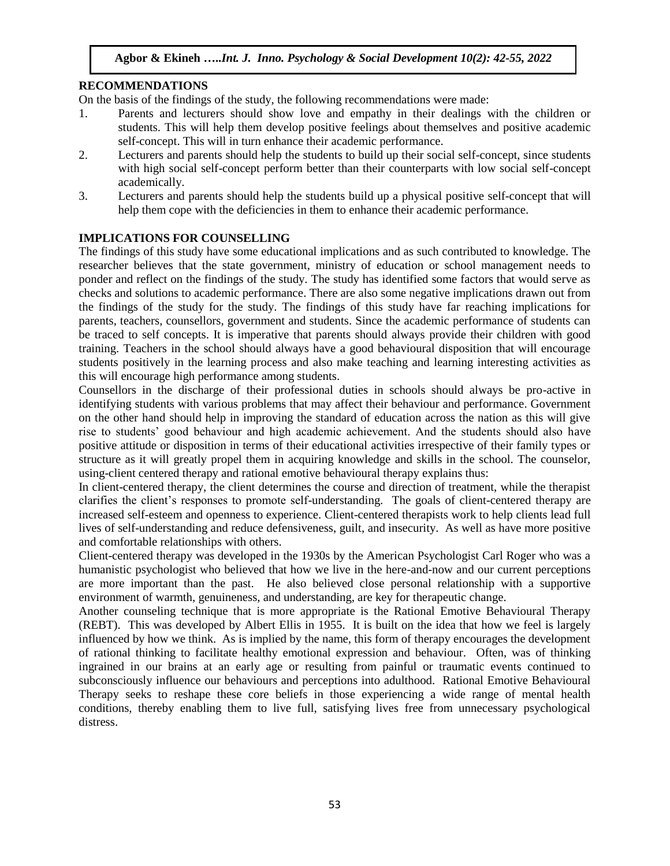## **RECOMMENDATIONS**

On the basis of the findings of the study, the following recommendations were made:

- 1. Parents and lecturers should show love and empathy in their dealings with the children or students. This will help them develop positive feelings about themselves and positive academic self-concept. This will in turn enhance their academic performance.
- 2. Lecturers and parents should help the students to build up their social self-concept, since students with high social self-concept perform better than their counterparts with low social self-concept academically.
- 3. Lecturers and parents should help the students build up a physical positive self-concept that will help them cope with the deficiencies in them to enhance their academic performance.

## **IMPLICATIONS FOR COUNSELLING**

The findings of this study have some educational implications and as such contributed to knowledge. The researcher believes that the state government, ministry of education or school management needs to ponder and reflect on the findings of the study. The study has identified some factors that would serve as checks and solutions to academic performance. There are also some negative implications drawn out from the findings of the study for the study. The findings of this study have far reaching implications for parents, teachers, counsellors, government and students. Since the academic performance of students can be traced to self concepts. It is imperative that parents should always provide their children with good training. Teachers in the school should always have a good behavioural disposition that will encourage students positively in the learning process and also make teaching and learning interesting activities as this will encourage high performance among students.

Counsellors in the discharge of their professional duties in schools should always be pro-active in identifying students with various problems that may affect their behaviour and performance. Government on the other hand should help in improving the standard of education across the nation as this will give rise to students' good behaviour and high academic achievement. And the students should also have positive attitude or disposition in terms of their educational activities irrespective of their family types or structure as it will greatly propel them in acquiring knowledge and skills in the school. The counselor, using-client centered therapy and rational emotive behavioural therapy explains thus:

In client-centered therapy, the client determines the course and direction of treatment, while the therapist clarifies the client's responses to promote self-understanding. The goals of client-centered therapy are increased self-esteem and openness to experience. Client-centered therapists work to help clients lead full lives of self-understanding and reduce defensiveness, guilt, and insecurity. As well as have more positive and comfortable relationships with others.

Client-centered therapy was developed in the 1930s by the American Psychologist Carl Roger who was a humanistic psychologist who believed that how we live in the here-and-now and our current perceptions are more important than the past. He also believed close personal relationship with a supportive environment of warmth, genuineness, and understanding, are key for therapeutic change.

Another counseling technique that is more appropriate is the Rational Emotive Behavioural Therapy (REBT). This was developed by Albert Ellis in 1955. It is built on the idea that how we feel is largely influenced by how we think. As is implied by the name, this form of therapy encourages the development of rational thinking to facilitate healthy emotional expression and behaviour. Often, was of thinking ingrained in our brains at an early age or resulting from painful or traumatic events continued to subconsciously influence our behaviours and perceptions into adulthood. Rational Emotive Behavioural Therapy seeks to reshape these core beliefs in those experiencing a wide range of mental health conditions, thereby enabling them to live full, satisfying lives free from unnecessary psychological distress.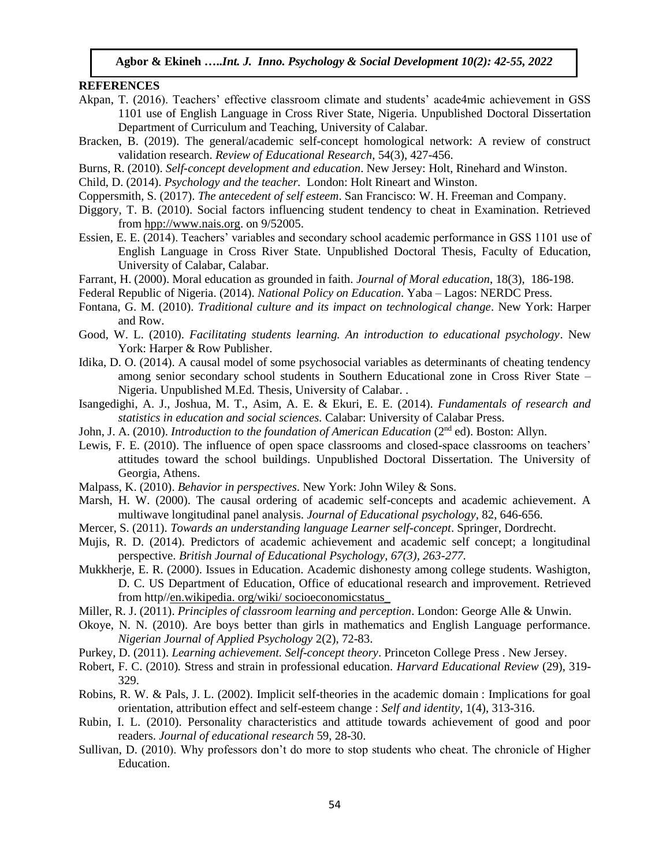#### **REFERENCES**

- Akpan, T. (2016). Teachers' effective classroom climate and students' acade4mic achievement in GSS 1101 use of English Language in Cross River State, Nigeria. Unpublished Doctoral Dissertation Department of Curriculum and Teaching, University of Calabar.
- Bracken, B. (2019). The general/academic self-concept homological network: A review of construct validation research. *Review of Educational Research*, 54(3), 427-456.
- Burns, R. (2010). *Self-concept development and education*. New Jersey: Holt, Rinehard and Winston.
- Child, D. (2014). *Psychology and the teacher.* London: Holt Rineart and Winston.
- Coppersmith, S. (2017). *The antecedent of self esteem*. San Francisco: W. H. Freeman and Company.
- Diggory, T. B. (2010). Social factors influencing student tendency to cheat in Examination. Retrieved from hpp:/[/www.nais.org.](http://www.nais.org/) on 9/52005.
- Essien, E. E. (2014). Teachers' variables and secondary school academic performance in GSS 1101 use of English Language in Cross River State. Unpublished Doctoral Thesis, Faculty of Education, University of Calabar, Calabar.
- Farrant, H. (2000). Moral education as grounded in faith. *Journal of Moral education*, 18(3), 186-198.

Federal Republic of Nigeria. (2014). *National Policy on Education*. Yaba – Lagos: NERDC Press.

- Fontana, G. M. (2010). *Traditional culture and its impact on technological change*. New York: Harper and Row.
- Good, W. L. (2010). *Facilitating students learning. An introduction to educational psychology*. New York: Harper & Row Publisher.
- Idika, D. O. (2014). A causal model of some psychosocial variables as determinants of cheating tendency among senior secondary school students in Southern Educational zone in Cross River State – Nigeria. Unpublished M.Ed. Thesis, University of Calabar. .
- Isangedighi, A. J., Joshua, M. T., Asim, A. E. & Ekuri, E. E. (2014). *Fundamentals of research and statistics in education and social sciences.* Calabar: University of Calabar Press.
- John, J. A. (2010). *Introduction to the foundation of American Education* (2<sup>nd</sup> ed). Boston: Allyn.
- Lewis, F. E. (2010). The influence of open space classrooms and closed-space classrooms on teachers' attitudes toward the school buildings. Unpublished Doctoral Dissertation. The University of Georgia, Athens.
- Malpass, K. (2010). *Behavior in perspectives*. New York: John Wiley & Sons.
- Marsh, H. W. (2000). The causal ordering of academic self-concepts and academic achievement. A multiwave longitudinal panel analysis. *Journal of Educational psychology,* 82, 646-656.
- Mercer, S. (2011). *Towards an understanding language Learner self-concept*. Springer, Dordrecht.
- Mujis, R. D. (2014). Predictors of academic achievement and academic self concept; a longitudinal perspective. *British Journal of Educational Psychology, 67(3), 263-277.*
- Mukkherje, E. R. (2000). Issues in Education. Academic dishonesty among college students. Washigton, D. C. US Department of Education, Office of educational research and improvement. Retrieved from http//en.wikipedia. org/wiki/ socioeconomicstatus\_
- Miller, R. J. (2011). *Principles of classroom learning and perception*. London: George Alle & Unwin.
- Okoye, N. N. (2010). Are boys better than girls in mathematics and English Language performance. *Nigerian Journal of Applied Psychology* 2(2), 72-83.
- Purkey, D. (2011). *Learning achievement. Self-concept theory*. Princeton College Press . New Jersey.
- Robert, F. C. (2010)*.* Stress and strain in professional education. *Harvard Educational Review* (29), 319- 329.
- Robins, R. W. & Pals, J. L. (2002). Implicit self-theories in the academic domain : Implications for goal orientation, attribution effect and self-esteem change : *Self and identity*, 1(4), 313-316.
- Rubin, I. L. (2010). Personality characteristics and attitude towards achievement of good and poor readers. *Journal of educational research* 59, 28-30.
- Sullivan, D. (2010). Why professors don't do more to stop students who cheat. The chronicle of Higher Education.